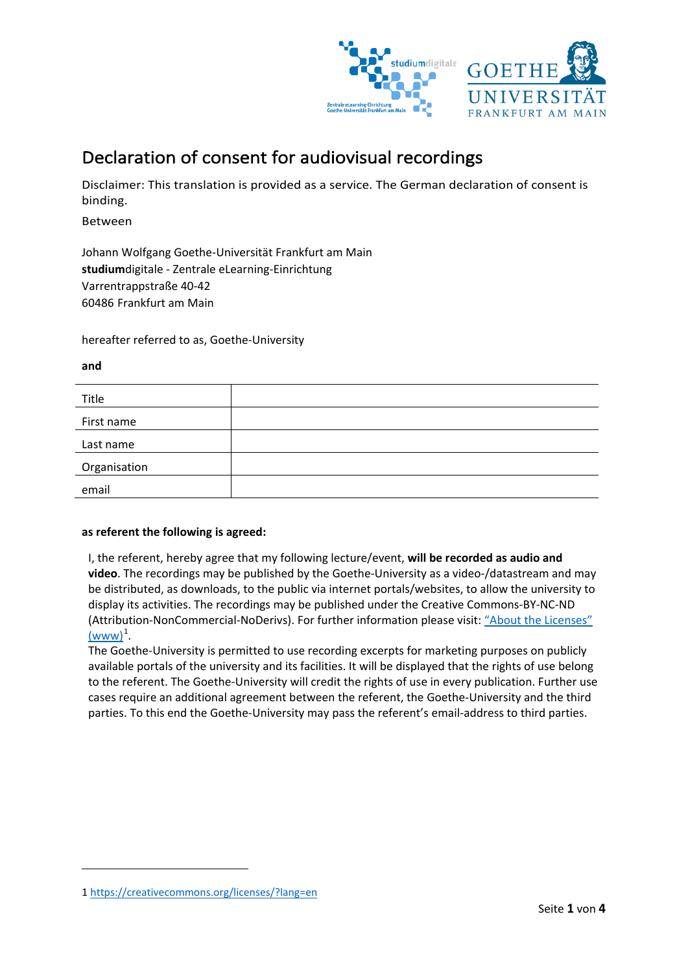

# Declaration of consent for audiovisual recordings

Disclaimer: This translation is provided as a service. The German declaration of consent is binding.

Between

Johann Wolfgang Goethe-Universität Frankfurt am Main **studium**digitale - Zentrale eLearning-Einrichtung Varrentrappstraße 40-42 60486 Frankfurt am Main

hereafter referred to as, Goethe-University

#### **and**

**.** 

| Title        |  |
|--------------|--|
| First name   |  |
| Last name    |  |
| Organisation |  |
| email        |  |

## **as referent the following is agreed:**

I, the referent, hereby agree that my following lecture/event, **will be recorded as audio and video**. The recordings may be published by the Goethe-University as a video-/datastream and may be distributed, as downloads, to the public via internet portals/websites, to allow the university to display its activities. The recordings may be published under the Creative Commons-BY-NC-ND (Attribution-NonCommercial-NoDerivs). For further information please visit: ["About the Licenses"](https://creativecommons.org/licenses/?lang=en)   $(www)^1$  $(www)^1$  $(www)^1$ .

The Goethe-University is permitted to use recording excerpts for marketing purposes on publicly available portals of the university and its facilities. It will be displayed that the rights of use belong to the referent. The Goethe-University will credit the rights of use in every publication. Further use cases require an additional agreement between the referent, the Goethe-University and the third parties. To this end the Goethe-University may pass the referent's email-address to third parties.

<span id="page-0-0"></span><sup>1</sup><https://creativecommons.org/licenses/?lang=en>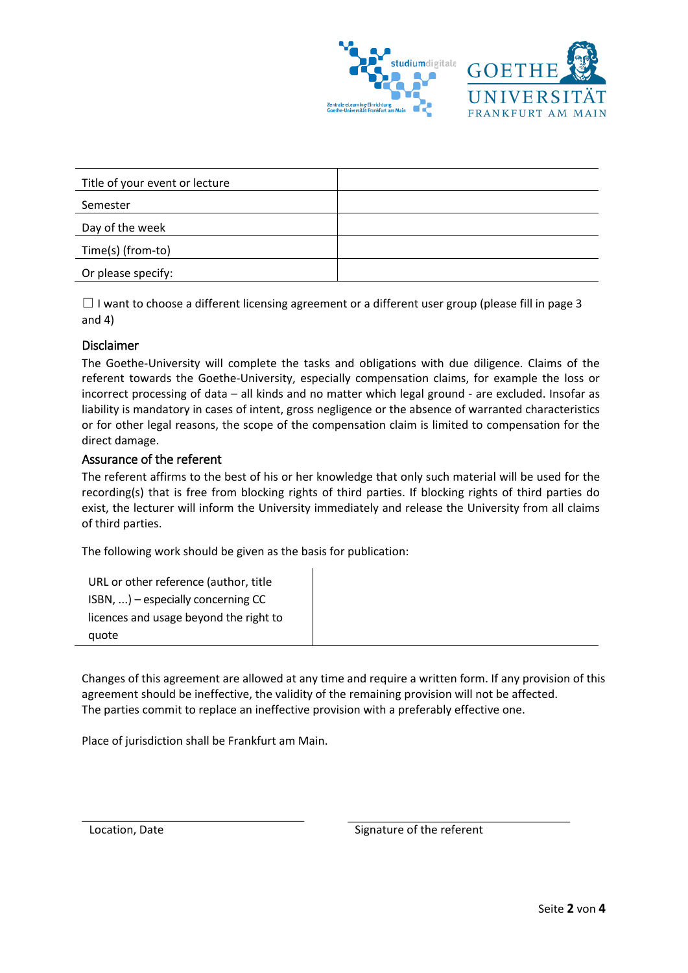

| Title of your event or lecture |  |  |
|--------------------------------|--|--|
| Semester                       |  |  |
| Day of the week                |  |  |
| Time(s) (from-to)              |  |  |
| Or please specify:             |  |  |

 $\Box$  I want to choose a different licensing agreement or a different user group (please fill in page 3 and 4)

## Disclaimer

The Goethe-University will complete the tasks and obligations with due diligence. Claims of the referent towards the Goethe-University, especially compensation claims, for example the loss or incorrect processing of data – all kinds and no matter which legal ground - are excluded. Insofar as liability is mandatory in cases of intent, gross negligence or the absence of warranted characteristics or for other legal reasons, the scope of the compensation claim is limited to compensation for the direct damage.

## Assurance of the referent

The referent affirms to the best of his or her knowledge that only such material will be used for the recording(s) that is free from blocking rights of third parties. If blocking rights of third parties do exist, the lecturer will inform the University immediately and release the University from all claims of third parties.

The following work should be given as the basis for publication:

URL or other reference (author, title ISBN, ...) – especially concerning CC licences and usage beyond the right to quote

Changes of this agreement are allowed at any time and require a written form. If any provision of this agreement should be ineffective, the validity of the remaining provision will not be affected. The parties commit to replace an ineffective provision with a preferably effective one.

Place of jurisdiction shall be Frankfurt am Main.

Location, Date **Signature of the referent**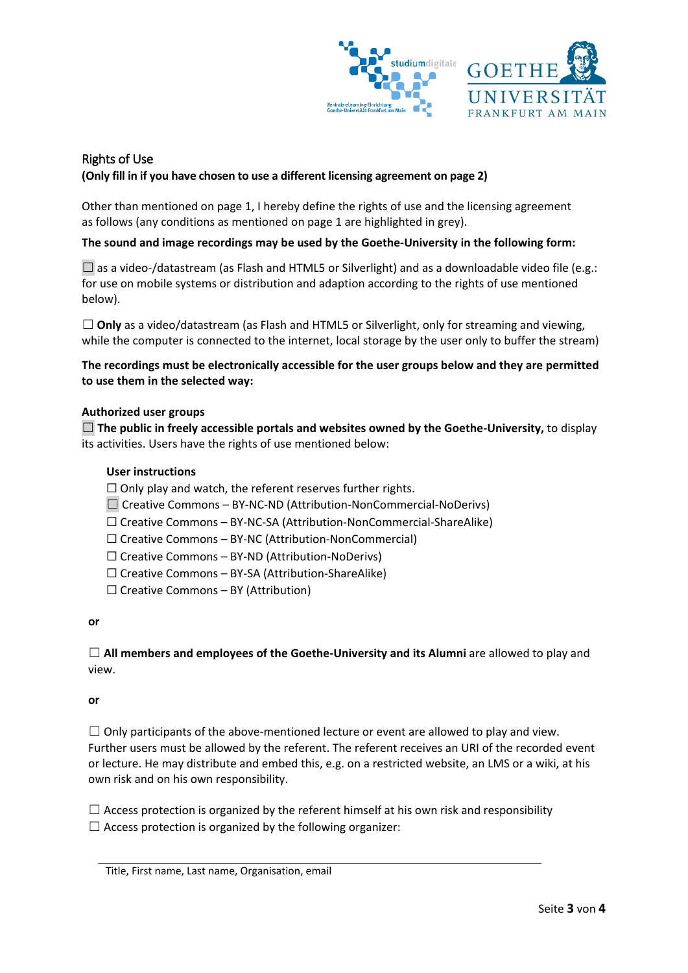

# Rights of Use **(Only fill in if you have chosen to use a different licensing agreement on page 2)**

Other than mentioned on page 1, I hereby define the rights of use and the licensing agreement as follows (any conditions as mentioned on page 1 are highlighted in grey).

## **The sound and image recordings may be used by the Goethe-University in the following form:**

 $\square$  as a video-/datastream (as Flash and HTML5 or Silverlight) and as a downloadable video file (e.g.: for use on mobile systems or distribution and adaption according to the rights of use mentioned below).

□ **Only** as a video/datastream (as Flash and HTML5 or Silverlight, only for streaming and viewing, while the computer is connected to the internet, local storage by the user only to buffer the stream)

**The recordings must be electronically accessible for the user groups below and they are permitted to use them in the selected way:**

## **Authorized user groups**

☐ **The public in freely accessible portals and websites owned by the Goethe-University,** to display its activities. Users have the rights of use mentioned below:

## **User instructions**

 $\Box$  Only play and watch, the referent reserves further rights.

 $\Box$  Creative Commons – BY-NC-ND (Attribution-NonCommercial-NoDerivs)

☐ Creative Commons – BY-NC-SA (Attribution-NonCommercial-ShareAlike)

 $\Box$  Creative Commons – BY-NC (Attribution-NonCommercial)

 $\Box$  Creative Commons – BY-ND (Attribution-NoDerivs)

☐ Creative Commons – BY-SA (Attribution-ShareAlike)

 $\Box$  Creative Commons – BY (Attribution)

**or**

☐ **All members and employees of the Goethe-University and its Alumni** are allowed to play and view.

#### **or**

 $\Box$  Only participants of the above-mentioned lecture or event are allowed to play and view. Further users must be allowed by the referent. The referent receives an URI of the recorded event or lecture. He may distribute and embed this, e.g. on a restricted website, an LMS or a wiki, at his own risk and on his own responsibility.

 $\Box$  Access protection is organized by the referent himself at his own risk and responsibility  $\Box$  Access protection is organized by the following organizer: